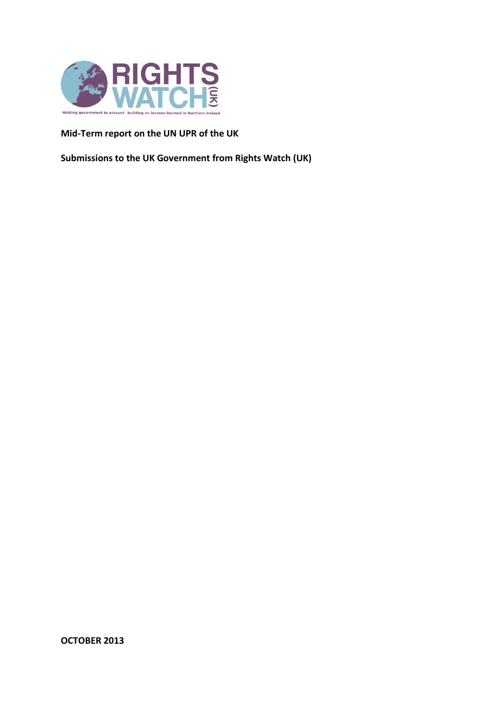

**Mid-Term report on the UN UPR of the UK** 

**Submissions to the UK Government from Rights Watch (UK)** 

**OCTOBER 2013**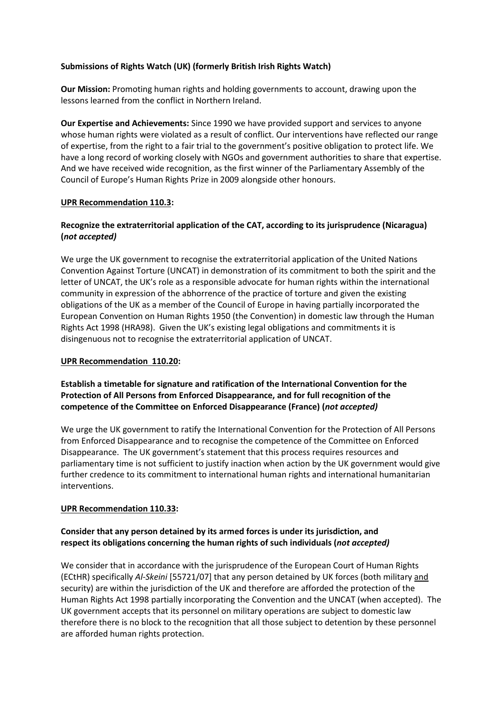### **Submissions of Rights Watch (UK) (formerly British Irish Rights Watch)**

**Our Mission:** Promoting human rights and holding governments to account, drawing upon the lessons learned from the conflict in Northern Ireland.

**Our Expertise and Achievements:** Since 1990 we have provided support and services to anyone whose human rights were violated as a result of conflict. Our interventions have reflected our range of expertise, from the right to a fair trial to the government's positive obligation to protect life. We have a long record of working closely with NGOs and government authorities to share that expertise. And we have received wide recognition, as the first winner of the Parliamentary Assembly of the Council of Europe's Human Rights Prize in 2009 alongside other honours.

#### **UPR Recommendation 110.3:**

## **Recognize the extraterritorial application of the CAT, according to its jurisprudence (Nicaragua) (***not accepted)*

We urge the UK government to recognise the extraterritorial application of the United Nations Convention Against Torture (UNCAT) in demonstration of its commitment to both the spirit and the letter of UNCAT, the UK's role as a responsible advocate for human rights within the international community in expression of the abhorrence of the practice of torture and given the existing obligations of the UK as a member of the Council of Europe in having partially incorporated the European Convention on Human Rights 1950 (the Convention) in domestic law through the Human Rights Act 1998 (HRA98). Given the UK's existing legal obligations and commitments it is disingenuous not to recognise the extraterritorial application of UNCAT.

#### **UPR Recommendation 110.20:**

## **Establish a timetable for signature and ratification of the International Convention for the Protection of All Persons from Enforced Disappearance, and for full recognition of the competence of the Committee on Enforced Disappearance (France) (***not accepted)*

We urge the UK government to ratify the International Convention for the Protection of All Persons from Enforced Disappearance and to recognise the competence of the Committee on Enforced Disappearance. The UK government's statement that this process requires resources and parliamentary time is not sufficient to justify inaction when action by the UK government would give further credence to its commitment to international human rights and international humanitarian interventions.

#### **UPR Recommendation 110.33:**

# **Consider that any person detained by its armed forces is under its jurisdiction, and respect its obligations concerning the human rights of such individuals (***not accepted)*

We consider that in accordance with the jurisprudence of the European Court of Human Rights (ECtHR) specifically *Al-Skeini* [55721/07] that any person detained by UK forces (both military and security) are within the jurisdiction of the UK and therefore are afforded the protection of the Human Rights Act 1998 partially incorporating the Convention and the UNCAT (when accepted). The UK government accepts that its personnel on military operations are subject to domestic law therefore there is no block to the recognition that all those subject to detention by these personnel are afforded human rights protection.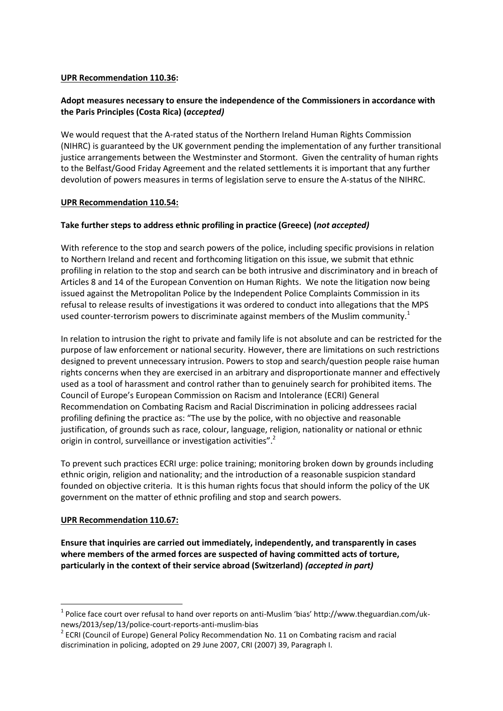#### **UPR Recommendation 110.36:**

# Adopt measures necessary to ensure the independence of the Commissioners in accordance with the Paris Principles (Costa Rica) (accepted)

We would request that the A-rated status of the Northern Ireland Human Rights Commission (NIHRC) is guaranteed by the UK government pending the implementation of any further transitional justice arrangements between the Westminster and Stormont. Given the centrality of human rights to the Belfast/Good Friday Agreement and the related settlements it is important that any further devolution of powers measures in terms of legislation serve to ensure the A-status of the NIHRC.

### **UPR Recommendation 110.54:**

## Take further steps to address ethnic profiling in practice (Greece) (not accepted)

With reference to the stop and search powers of the police, including specific provisions in relation to Northern Ireland and recent and forthcoming litigation on this issue, we submit that ethnic profiling in relation to the stop and search can be both intrusive and discriminatory and in breach of Articles 8 and 14 of the European Convention on Human Rights. We note the litigation now being issued against the Metropolitan Police by the Independent Police Complaints Commission in its refusal to release results of investigations it was ordered to conduct into allegations that the MPS used counter-terrorism powers to discriminate against members of the Muslim community.<sup>1</sup>

In relation to intrusion the right to private and family life is not absolute and can be restricted for the purpose of law enforcement or national security. However, there are limitations on such restrictions designed to prevent unnecessary intrusion. Powers to stop and search/question people raise human rights concerns when they are exercised in an arbitrary and disproportionate manner and effectively used as a tool of harassment and control rather than to genuinely search for prohibited items. The Council of Europe's European Commission on Racism and Intolerance (ECRI) General Recommendation on Combating Racism and Racial Discrimination in policing addressees racial profiling defining the practice as: "The use by the police, with no objective and reasonable justification, of grounds such as race, colour, language, religion, nationality or national or ethnic origin in control, surveillance or investigation activities".<sup>2</sup>

To prevent such practices ECRI urge: police training; monitoring broken down by grounds including ethnic origin, religion and nationality; and the introduction of a reasonable suspicion standard founded on objective criteria. It is this human rights focus that should inform the policy of the UK government on the matter of ethnic profiling and stop and search powers.

## **UPR Recommendation 110.67:**

Ensure that inquiries are carried out immediately, independently, and transparently in cases where members of the armed forces are suspected of having committed acts of torture, particularly in the context of their service abroad (Switzerland) (accepted in part)

<sup>&</sup>lt;sup>1</sup> Police face court over refusal to hand over reports on anti-Muslim 'bias' http://www.theguardian.com/uknews/2013/sep/13/police-court-reports-anti-muslim-bias

<sup>&</sup>lt;sup>2</sup> ECRI (Council of Europe) General Policy Recommendation No. 11 on Combating racism and racial discrimination in policing, adopted on 29 June 2007, CRI (2007) 39, Paragraph I.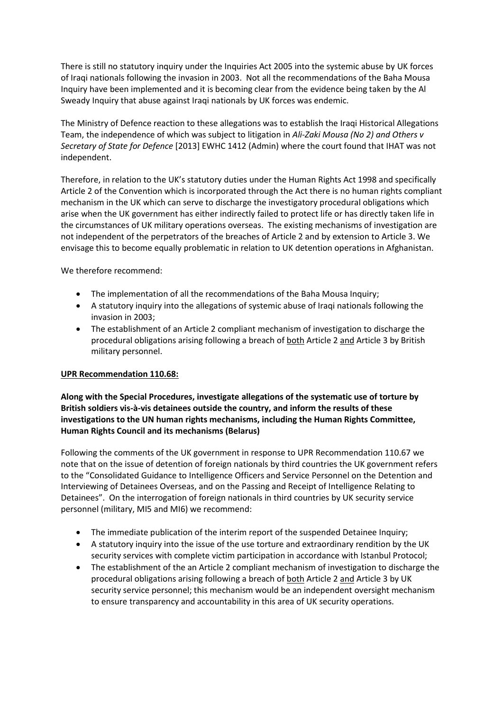There is still no statutory inquiry under the Inquiries Act 2005 into the systemic abuse by UK forces of Iraqi nationals following the invasion in 2003. Not all the recommendations of the Baha Mousa Inquiry have been implemented and it is becoming clear from the evidence being taken by the Al Sweady Inquiry that abuse against Iraqi nationals by UK forces was endemic.

The Ministry of Defence reaction to these allegations was to establish the Iraqi Historical Allegations Team, the independence of which was subject to litigation in Ali-Zaki Mousa (No 2) and Others v Secretary of State for Defence [2013] EWHC 1412 (Admin) where the court found that IHAT was not independent.

Therefore, in relation to the UK's statutory duties under the Human Rights Act 1998 and specifically Article 2 of the Convention which is incorporated through the Act there is no human rights compliant mechanism in the UK which can serve to discharge the investigatory procedural obligations which arise when the UK government has either indirectly failed to protect life or has directly taken life in the circumstances of UK military operations overseas. The existing mechanisms of investigation are not independent of the perpetrators of the breaches of Article 2 and by extension to Article 3. We envisage this to become equally problematic in relation to UK detention operations in Afghanistan.

We therefore recommend:

- The implementation of all the recommendations of the Baha Mousa Inquiry;
- A statutory inquiry into the allegations of systemic abuse of Iraqi nationals following the invasion in 2003;
- The establishment of an Article 2 compliant mechanism of investigation to discharge the procedural obligations arising following a breach of both Article 2 and Article 3 by British military personnel.

#### **UPR Recommendation 110.68:**

Along with the Special Procedures, investigate allegations of the systematic use of torture by British soldiers vis-à-vis detainees outside the country, and inform the results of these investigations to the UN human rights mechanisms, including the Human Rights Committee, Human Rights Council and its mechanisms (Belarus)

Following the comments of the UK government in response to UPR Recommendation 110.67 we note that on the issue of detention of foreign nationals by third countries the UK government refers to the "Consolidated Guidance to Intelligence Officers and Service Personnel on the Detention and Interviewing of Detainees Overseas, and on the Passing and Receipt of Intelligence Relating to Detainees". On the interrogation of foreign nationals in third countries by UK security service personnel (military, MI5 and MI6) we recommend:

- The immediate publication of the interim report of the suspended Detainee Inquiry;
- A statutory inquiry into the issue of the use torture and extraordinary rendition by the UK security services with complete victim participation in accordance with Istanbul Protocol;
- The establishment of the an Article 2 compliant mechanism of investigation to discharge the procedural obligations arising following a breach of both Article 2 and Article 3 by UK security service personnel; this mechanism would be an independent oversight mechanism to ensure transparency and accountability in this area of UK security operations.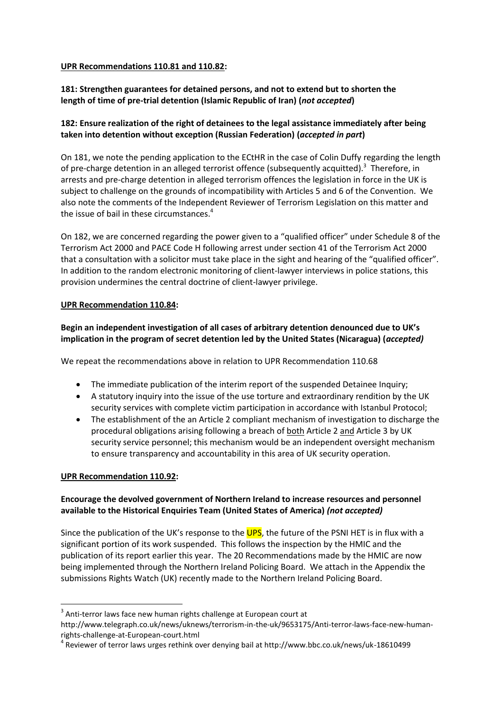#### **UPR Recommendations 110.81 and 110.82:**

# **181: Strengthen guarantees for detained persons, and not to extend but to shorten the length of time of pre-trial detention (Islamic Republic of Iran) (***not accepted***)**

# **182: Ensure realization of the right of detainees to the legal assistance immediately after being taken into detention without exception (Russian Federation) (***accepted in part***)**

On 181, we note the pending application to the ECtHR in the case of Colin Duffy regarding the length of pre-charge detention in an alleged terrorist offence (subsequently acquitted).<sup>3</sup> Therefore, in arrests and pre-charge detention in alleged terrorism offences the legislation in force in the UK is subject to challenge on the grounds of incompatibility with Articles 5 and 6 of the Convention. We also note the comments of the Independent Reviewer of Terrorism Legislation on this matter and the issue of bail in these circumstances.<sup>4</sup>

On 182, we are concerned regarding the power given to a "qualified officer" under Schedule 8 of the Terrorism Act 2000 and PACE Code H following arrest under section 41 of the Terrorism Act 2000 that a consultation with a solicitor must take place in the sight and hearing of the "qualified officer". In addition to the random electronic monitoring of client-lawyer interviews in police stations, this provision undermines the central doctrine of client-lawyer privilege.

### **UPR Recommendation 110.84:**

# **Begin an independent investigation of all cases of arbitrary detention denounced due to UK's implication in the program of secret detention led by the United States (Nicaragua) (***accepted)*

We repeat the recommendations above in relation to UPR Recommendation 110.68

- The immediate publication of the interim report of the suspended Detainee Inquiry;
- A statutory inquiry into the issue of the use torture and extraordinary rendition by the UK security services with complete victim participation in accordance with Istanbul Protocol;
- The establishment of the an Article 2 compliant mechanism of investigation to discharge the procedural obligations arising following a breach of both Article 2 and Article 3 by UK security service personnel; this mechanism would be an independent oversight mechanism to ensure transparency and accountability in this area of UK security operation.

## **UPR Recommendation 110.92:**

 $\overline{a}$ 

## **Encourage the devolved government of Northern Ireland to increase resources and personnel available to the Historical Enquiries Team (United States of America)** *(not accepted)*

Since the publication of the UK's response to the UPS, the future of the PSNI HET is in flux with a significant portion of its work suspended. This follows the inspection by the HMIC and the publication of its report earlier this year. The 20 Recommendations made by the HMIC are now being implemented through the Northern Ireland Policing Board. We attach in the Appendix the submissions Rights Watch (UK) recently made to the Northern Ireland Policing Board.

 $3$  Anti-terror laws face new human rights challenge at European court at

http://www.telegraph.co.uk/news/uknews/terrorism-in-the-uk/9653175/Anti-terror-laws-face-new-humanrights-challenge-at-European-court.html

<sup>&</sup>lt;sup>4</sup> Reviewer of terror laws urges rethink over denying bail at http://www.bbc.co.uk/news/uk-18610499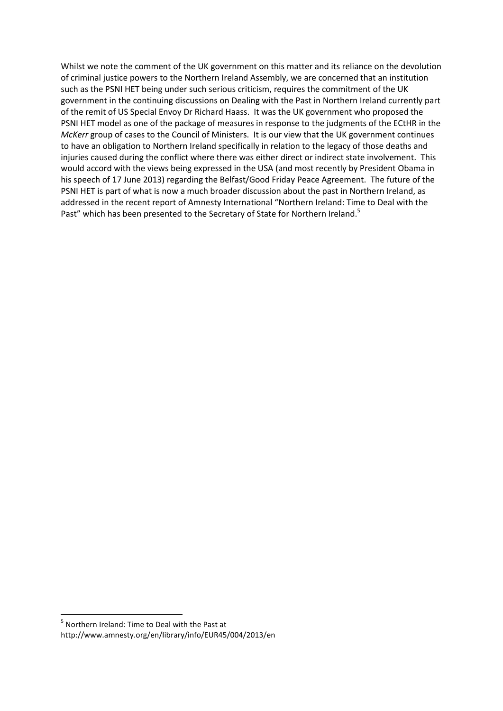Whilst we note the comment of the UK government on this matter and its reliance on the devolution of criminal justice powers to the Northern Ireland Assembly, we are concerned that an institution such as the PSNI HET being under such serious criticism, requires the commitment of the UK government in the continuing discussions on Dealing with the Past in Northern Ireland currently part of the remit of US Special Envoy Dr Richard Haass. It was the UK government who proposed the PSNI HET model as one of the package of measures in response to the judgments of the ECtHR in the *McKerr* group of cases to the Council of Ministers. It is our view that the UK government continues to have an obligation to Northern Ireland specifically in relation to the legacy of those deaths and injuries caused during the conflict where there was either direct or indirect state involvement. This would accord with the views being expressed in the USA (and most recently by President Obama in his speech of 17 June 2013) regarding the Belfast/Good Friday Peace Agreement. The future of the PSNI HET is part of what is now a much broader discussion about the past in Northern Ireland, as addressed in the recent report of Amnesty International "Northern Ireland: Time to Deal with the Past" which has been presented to the Secretary of State for Northern Ireland.<sup>5</sup>

 $\overline{a}$ 

<sup>&</sup>lt;sup>5</sup> Northern Ireland: Time to Deal with the Past at

http://www.amnesty.org/en/library/info/EUR45/004/2013/en